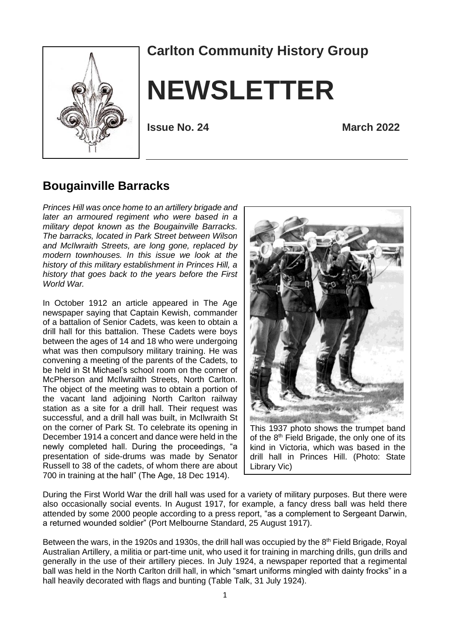

# **Carlton Community History Group**

# **NEWSLETTER**

**Issue No. 24 March 2022**

#### **Bougainville Barracks**

*Princes Hill was once home to an artillery brigade and later an armoured regiment who were based in a military depot known as the Bougainville Barracks. The barracks, located in Park Street between Wilson and McIlwraith Streets, are long gone, replaced by modern townhouses. In this issue we look at the history of this military establishment in Princes Hill, a history that goes back to the years before the First World War.* 

In October 1912 an article appeared in The Age newspaper saying that Captain Kewish, commander of a battalion of Senior Cadets, was keen to obtain a drill hall for this battalion. These Cadets were boys between the ages of 14 and 18 who were undergoing what was then compulsory military training. He was convening a meeting of the parents of the Cadets, to be held in St Michael's school room on the corner of McPherson and McIlwrailth Streets, North Carlton. The object of the meeting was to obtain a portion of the vacant land adjoining North Carlton railway station as a site for a drill hall. Their request was successful, and a drill hall was built, in McIlwraith St on the corner of Park St. To celebrate its opening in December 1914 a concert and dance were held in the newly completed hall. During the proceedings, "a presentation of side-drums was made by Senator Russell to 38 of the cadets, of whom there are about 700 in training at the hall" (The Age, 18 Dec 1914).



This 1937 photo shows the trumpet band of the 8<sup>th</sup> Field Brigade, the only one of its kind in Victoria, which was based in the drill hall in Princes Hill. (Photo: State Library Vic)

During the First World War the drill hall was used for a variety of military purposes. But there were also occasionally social events. In August 1917, for example, a fancy dress ball was held there attended by some 2000 people according to a press report, "as a complement to Sergeant Darwin, a returned wounded soldier" (Port Melbourne Standard, 25 August 1917).

Between the wars, in the 1920s and 1930s, the drill hall was occupied by the  $8<sup>th</sup>$  Field Brigade, Royal Australian Artillery, a militia or part-time unit, who used it for training in marching drills, gun drills and generally in the use of their artillery pieces. In July 1924, a newspaper reported that a regimental ball was held in the North Carlton drill hall, in which "smart uniforms mingled with dainty frocks" in a hall heavily decorated with flags and bunting (Table Talk, 31 July 1924).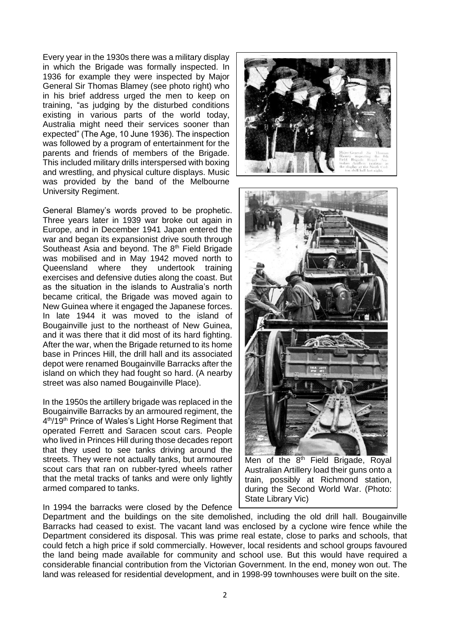Every year in the 1930s there was a military display in which the Brigade was formally inspected. In 1936 for example they were inspected by Major General Sir Thomas Blamey (see photo right) who in his brief address urged the men to keep on training, "as judging by the disturbed conditions existing in various parts of the world today, Australia might need their services sooner than expected" (The Age, 10 June 1936). The inspection was followed by a program of entertainment for the parents and friends of members of the Brigade. This included military drills interspersed with boxing and wrestling, and physical culture displays. Music was provided by the band of the Melbourne University Regiment.

General Blamey's words proved to be prophetic. Three years later in 1939 war broke out again in Europe, and in December 1941 Japan entered the war and began its expansionist drive south through Southeast Asia and beyond. The 8<sup>th</sup> Field Brigade was mobilised and in May 1942 moved north to Queensland where they undertook training exercises and defensive duties along the coast. But as the situation in the islands to Australia's north became critical, the Brigade was moved again to New Guinea where it engaged the Japanese forces. In late 1944 it was moved to the island of Bougainville just to the northeast of New Guinea, and it was there that it did most of its hard fighting. After the war, when the Brigade returned to its home base in Princes Hill, the drill hall and its associated depot were renamed Bougainville Barracks after the island on which they had fought so hard. (A nearby street was also named Bougainville Place).

In the 1950s the artillery brigade was replaced in the Bougainville Barracks by an armoured regiment, the 4<sup>th</sup>/19<sup>th</sup> Prince of Wales's Light Horse Regiment that operated Ferrett and Saracen scout cars. People who lived in Princes Hill during those decades report that they used to see tanks driving around the streets. They were not actually tanks, but armoured scout cars that ran on rubber-tyred wheels rather that the metal tracks of tanks and were only lightly armed compared to tanks.

In 1994 the barracks were closed by the Defence





Men of the 8<sup>th</sup> Field Brigade, Royal Australian Artillery load their guns onto a train, possibly at Richmond station, during the Second World War. (Photo: State Library Vic)

Department and the buildings on the site demolished, including the old drill hall. Bougainville Barracks had ceased to exist. The vacant land was enclosed by a cyclone wire fence while the Department considered its disposal. This was prime real estate, close to parks and schools, that could fetch a high price if sold commercially. However, local residents and school groups favoured the land being made available for community and school use. But this would have required a considerable financial contribution from the Victorian Government. In the end, money won out. The land was released for residential development, and in 1998-99 townhouses were built on the site.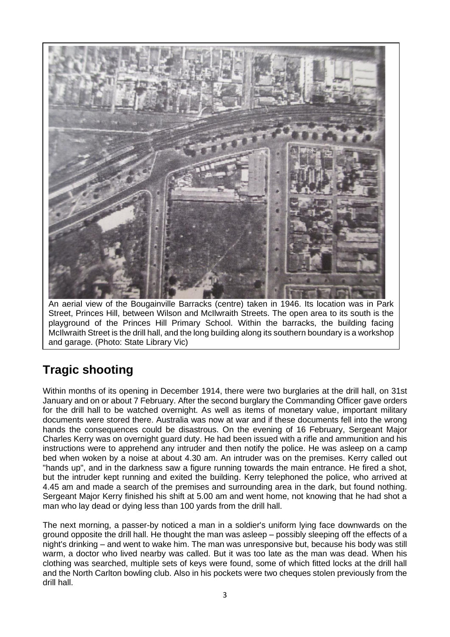

An aerial view of the Bougainville Barracks (centre) taken in 1946. Its location was in Park Street, Princes Hill, between Wilson and McIlwraith Streets. The open area to its south is the playground of the Princes Hill Primary School. Within the barracks, the building facing McIlwraith Street is the drill hall, and the long building along its southern boundary is a workshop and garage. (Photo: State Library Vic)

# **Tragic shooting**

Within months of its opening in December 1914, there were two burglaries at the drill hall, on 31st January and on or about 7 February. After the second burglary the Commanding Officer gave orders for the drill hall to be watched overnight. As well as items of monetary value, important military documents were stored there. Australia was now at war and if these documents fell into the wrong hands the consequences could be disastrous. On the evening of 16 February, Sergeant Major Charles Kerry was on overnight guard duty. He had been issued with a rifle and ammunition and his instructions were to apprehend any intruder and then notify the police. He was asleep on a camp bed when woken by a noise at about 4.30 am. An intruder was on the premises. Kerry called out "hands up", and in the darkness saw a figure running towards the main entrance. He fired a shot, but the intruder kept running and exited the building. Kerry telephoned the police, who arrived at 4.45 am and made a search of the premises and surrounding area in the dark, but found nothing. Sergeant Major Kerry finished his shift at 5.00 am and went home, not knowing that he had shot a man who lay dead or dying less than 100 yards from the drill hall.

The next morning, a passer-by noticed a man in a soldier's uniform lying face downwards on the ground opposite the drill hall. He thought the man was asleep – possibly sleeping off the effects of a night's drinking – and went to wake him. The man was unresponsive but, because his body was still warm, a doctor who lived nearby was called. But it was too late as the man was dead. When his clothing was searched, multiple sets of keys were found, some of which fitted locks at the drill hall and the North Carlton bowling club. Also in his pockets were two cheques stolen previously from the drill hall.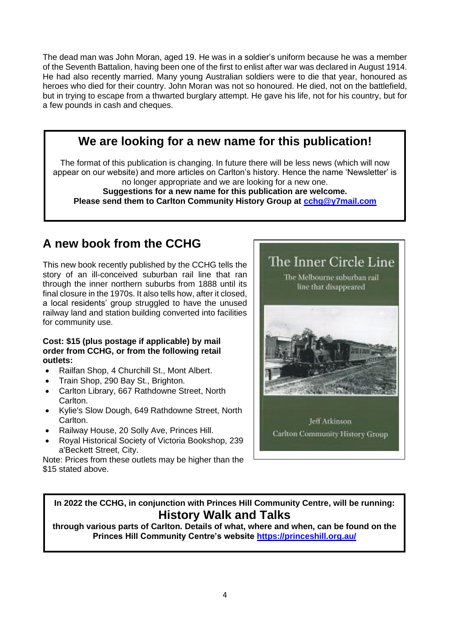The dead man was John Moran, aged 19. He was in a soldier's uniform because he was a member of the Seventh Battalion, having been one of the first to enlist after war was declared in August 1914. He had also recently married. Many young Australian soldiers were to die that year, honoured as heroes who died for their country. John Moran was not so honoured. He died, not on the battlefield, but in trying to escape from a thwarted burglary attempt. He gave his life, not for his country, but for a few pounds in cash and cheques.

## **We are looking for a new name for this publication!**

The format of this publication is changing. In future there will be less news (which will now appear on our website) and more articles on Carlton's history. Hence the name 'Newsletter' is no longer appropriate and we are looking for a new one.

# **Suggestions for a new name for this publication are welcome.**

**Please send them to Carlton Community History Group at [cchg@y7mail.com](mailto:cchg@y7mail.com)**

## **A new book from the CCHG**

This new book recently published by the CCHG tells the story of an ill-conceived suburban rail line that ran through the inner northern suburbs from 1888 until its final closure in the 1970s. It also tells how, after it closed, a local residents' group struggled to have the unused railway land and station building converted into facilities for community use.

#### **Cost: \$15 (plus postage if applicable) by [mail](http://www.cchg.asn.au/publications.html#mailorder)  [order](http://www.cchg.asn.au/publications.html#mailorder) from CCHG, or from the following retail outlets:**

- Railfan Shop, 4 Churchill St., Mont Albert.
- Train Shop, 290 Bay St., Brighton.
- Carlton Library, 667 Rathdowne Street, North Carlton.
- Kylie's Slow Dough, 649 Rathdowne Street, North Carlton.
- Railway House, 20 Solly Ave, Princes Hill.
- Royal Historical Society of Victoria Bookshop, 239 a'Beckett Street, City.

Note: Prices from these outlets may be higher than the \$15 stated above.



#### **In 2022 the CCHG, in conjunction with Princes Hill Community Centre, will be running: History Walk and Talks**

**through various parts of Carlton. Details of what, where and when, can be found on the Princes Hill Community Centre's website<https://princeshill.org.au/>**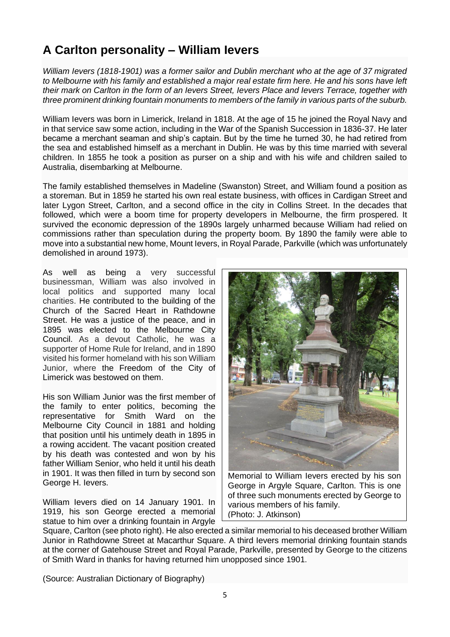# **A Carlton personality – William Ievers**

*William Ievers (1818-1901) was a former sailor and Dublin merchant who at the age of 37 migrated to Melbourne with his family and established a major real estate firm here. He and his sons have left their mark on Carlton in the form of an Ievers Street, Ievers Place and Ievers Terrace, together with three prominent drinking fountain monuments to members of the family in various parts of the suburb.*

William Ievers was born in Limerick, Ireland in 1818. At the age of 15 he joined the Royal Navy and in that service saw some action, including in the War of the Spanish Succession in 1836-37. He later became a merchant seaman and ship's captain. But by the time he turned 30, he had retired from the sea and established himself as a merchant in Dublin. He was by this time married with several children. In 1855 he took a position as purser on a ship and with his wife and children sailed to Australia, disembarking at Melbourne.

The family established themselves in Madeline (Swanston) Street, and William found a position as a storeman. But in 1859 he started his own real estate business, with offices in Cardigan Street and later Lygon Street, Carlton, and a second office in the city in Collins Street. In the decades that followed, which were a boom time for property developers in Melbourne, the firm prospered. It survived the economic depression of the 1890s largely unharmed because William had relied on commissions rather than speculation during the property boom. By 1890 the family were able to move into a substantial new home, Mount Ievers, in Royal Parade, Parkville (which was unfortunately demolished in around 1973).

As well as being a very successful businessman, William was also involved in local politics and supported many local charities. He contributed to the building of the Church of the Sacred Heart in Rathdowne Street. He was a justice of the peace, and in 1895 was elected to the Melbourne City Council. As a devout Catholic, he was a supporter of Home Rule for Ireland, and in 1890 visited his former homeland with his son William Junior, where the Freedom of the City of Limerick was bestowed on them.

His son William Junior was the first member of the family to enter politics, becoming the representative for Smith Ward on the Melbourne City Council in 1881 and holding that position until his untimely death in 1895 in a rowing accident. The vacant position created by his death was contested and won by his father William Senior, who held it until his death in 1901. It was then filled in turn by second son George H. Ievers.

William Ievers died on 14 January 1901. In 1919, his son George erected a memorial statue to him over a drinking fountain in Argyle



Memorial to William Ievers erected by his son George in Argyle Square, Carlton. This is one of three such monuments erected by George to various members of his family. (Photo: J. Atkinson)

Square, Carlton (see photo right). He also erected a similar memorial to his deceased brother William Junior in Rathdowne Street at Macarthur Square. A third Ievers memorial drinking fountain stands at the corner of Gatehouse Street and Royal Parade, Parkville, presented by George to the citizens of Smith Ward in thanks for having returned him unopposed since 1901.

(Source: Australian Dictionary of Biography)